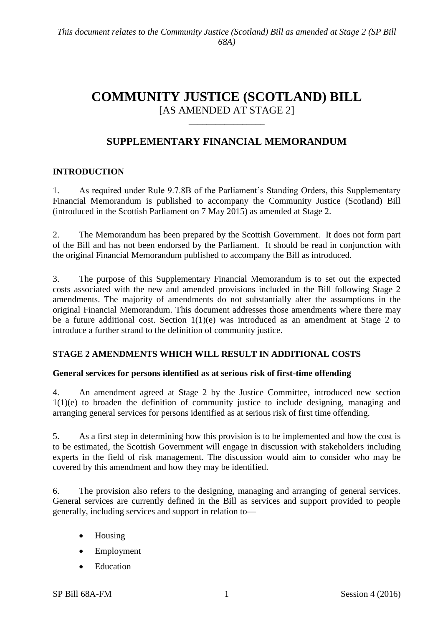# **COMMUNITY JUSTICE (SCOTLAND) BILL** [AS AMENDED AT STAGE 2]

**\_\_\_\_\_\_\_\_\_\_\_\_\_\_\_\_\_**

## **SUPPLEMENTARY FINANCIAL MEMORANDUM**

### **INTRODUCTION**

1. As required under Rule 9.7.8B of the Parliament's Standing Orders, this Supplementary Financial Memorandum is published to accompany the Community Justice (Scotland) Bill (introduced in the Scottish Parliament on 7 May 2015) as amended at Stage 2.

2. The Memorandum has been prepared by the Scottish Government. It does not form part of the Bill and has not been endorsed by the Parliament. It should be read in conjunction with the original Financial Memorandum published to accompany the Bill as introduced.

3. The purpose of this Supplementary Financial Memorandum is to set out the expected costs associated with the new and amended provisions included in the Bill following Stage 2 amendments. The majority of amendments do not substantially alter the assumptions in the original Financial Memorandum. This document addresses those amendments where there may be a future additional cost. Section 1(1)(e) was introduced as an amendment at Stage 2 to introduce a further strand to the definition of community justice.

### **STAGE 2 AMENDMENTS WHICH WILL RESULT IN ADDITIONAL COSTS**

### **General services for persons identified as at serious risk of first-time offending**

4. An amendment agreed at Stage 2 by the Justice Committee, introduced new section 1(1)(e) to broaden the definition of community justice to include designing, managing and arranging general services for persons identified as at serious risk of first time offending.

5. As a first step in determining how this provision is to be implemented and how the cost is to be estimated, the Scottish Government will engage in discussion with stakeholders including experts in the field of risk management. The discussion would aim to consider who may be covered by this amendment and how they may be identified.

6. The provision also refers to the designing, managing and arranging of general services. General services are currently defined in the Bill as services and support provided to people generally, including services and support in relation to—

- Housing
- Employment
- Education

SP Bill 68A-FM 1 Session 4 (2016)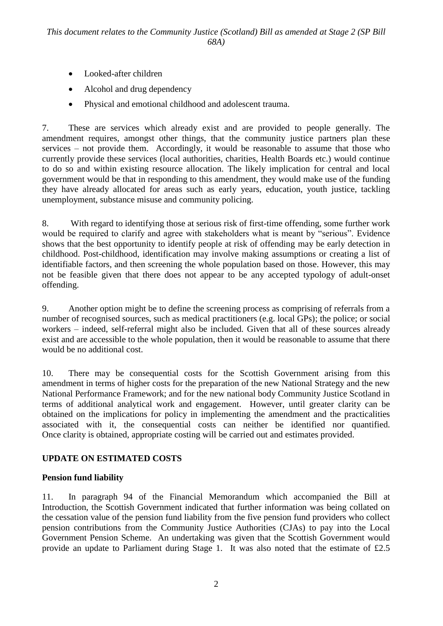- Looked-after children
- Alcohol and drug dependency
- Physical and emotional childhood and adolescent trauma.

7. These are services which already exist and are provided to people generally. The amendment requires, amongst other things, that the community justice partners plan these services – not provide them. Accordingly, it would be reasonable to assume that those who currently provide these services (local authorities, charities, Health Boards etc.) would continue to do so and within existing resource allocation. The likely implication for central and local government would be that in responding to this amendment, they would make use of the funding they have already allocated for areas such as early years, education, youth justice, tackling unemployment, substance misuse and community policing.

8. With regard to identifying those at serious risk of first-time offending, some further work would be required to clarify and agree with stakeholders what is meant by "serious". Evidence shows that the best opportunity to identify people at risk of offending may be early detection in childhood. Post-childhood, identification may involve making assumptions or creating a list of identifiable factors, and then screening the whole population based on those. However, this may not be feasible given that there does not appear to be any accepted typology of adult-onset offending.

9. Another option might be to define the screening process as comprising of referrals from a number of recognised sources, such as medical practitioners (e.g. local GPs); the police; or social workers – indeed, self-referral might also be included. Given that all of these sources already exist and are accessible to the whole population, then it would be reasonable to assume that there would be no additional cost.

10. There may be consequential costs for the Scottish Government arising from this amendment in terms of higher costs for the preparation of the new National Strategy and the new National Performance Framework; and for the new national body Community Justice Scotland in terms of additional analytical work and engagement. However, until greater clarity can be obtained on the implications for policy in implementing the amendment and the practicalities associated with it, the consequential costs can neither be identified nor quantified. Once clarity is obtained, appropriate costing will be carried out and estimates provided.

## **UPDATE ON ESTIMATED COSTS**

## **Pension fund liability**

11. In paragraph 94 of the Financial Memorandum which accompanied the Bill at Introduction, the Scottish Government indicated that further information was being collated on the cessation value of the pension fund liability from the five pension fund providers who collect pension contributions from the Community Justice Authorities (CJAs) to pay into the Local Government Pension Scheme. An undertaking was given that the Scottish Government would provide an update to Parliament during Stage 1. It was also noted that the estimate of £2.5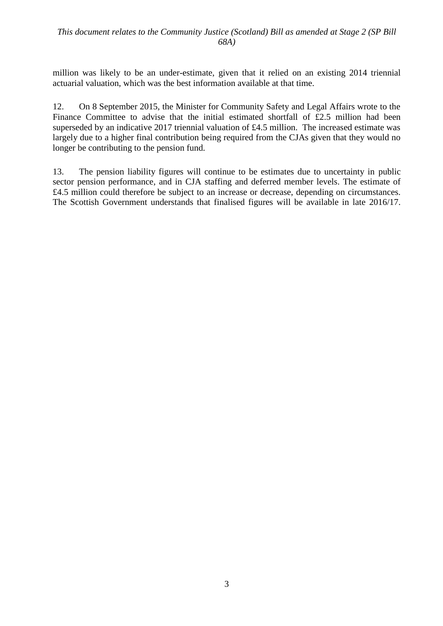#### *This document relates to the Community Justice (Scotland) Bill as amended at Stage 2 (SP Bill 68A)*

million was likely to be an under-estimate, given that it relied on an existing 2014 triennial actuarial valuation, which was the best information available at that time.

12. On 8 September 2015, the Minister for Community Safety and Legal Affairs wrote to the Finance Committee to advise that the initial estimated shortfall of £2.5 million had been superseded by an indicative 2017 triennial valuation of £4.5 million. The increased estimate was largely due to a higher final contribution being required from the CJAs given that they would no longer be contributing to the pension fund.

13. The pension liability figures will continue to be estimates due to uncertainty in public sector pension performance, and in CJA staffing and deferred member levels. The estimate of £4.5 million could therefore be subject to an increase or decrease, depending on circumstances. The Scottish Government understands that finalised figures will be available in late 2016/17.